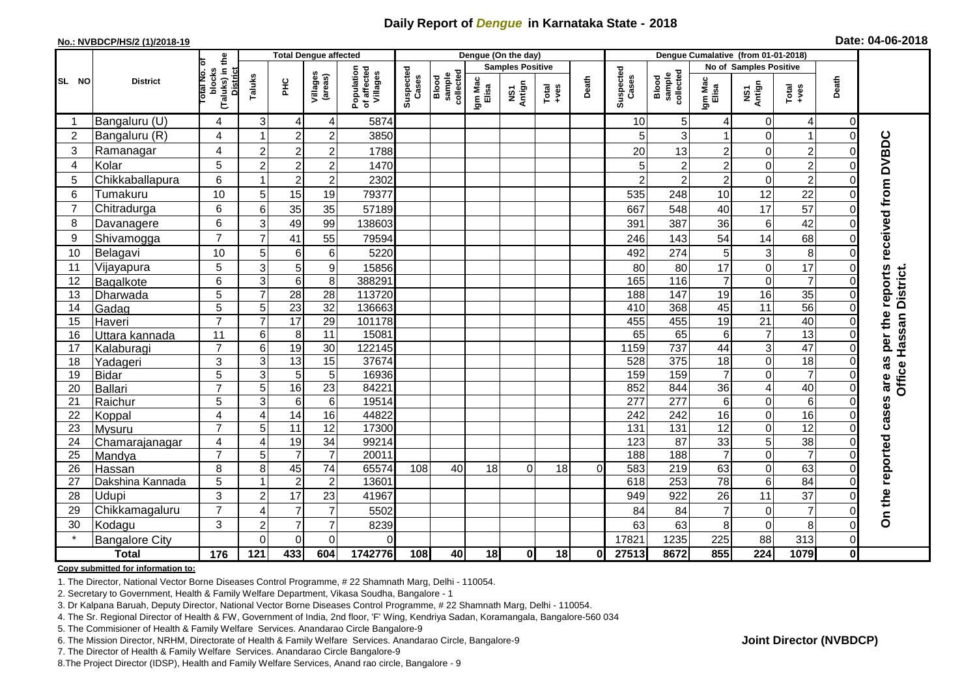## **Daily Report of** *Dengue* **in Karnataka State - 2018**

## **No.: NVBDCP/HS/2 (1)/2018-19 Date: 04-06-2018**

|                 | <b>District</b>       | the                                 |                | <b>Total Dengue affected</b> |                               |                                       |                    |                              |                         | Dengue (On the day)             |                  |          |                    |                                     |                      |                                        |                      |                      |                             |
|-----------------|-----------------------|-------------------------------------|----------------|------------------------------|-------------------------------|---------------------------------------|--------------------|------------------------------|-------------------------|---------------------------------|------------------|----------|--------------------|-------------------------------------|----------------------|----------------------------------------|----------------------|----------------------|-----------------------------|
| SL NO           |                       | ō                                   |                |                              |                               |                                       |                    |                              | <b>Samples Positive</b> |                                 |                  |          |                    |                                     |                      | No of Samples Positive                 |                      |                      |                             |
|                 |                       | (Taluks) in t<br>blocks<br>otal No. | Taluks         | Ξ                            | Villages<br>(areas)           | Population<br>of affected<br>Villages | Suspected<br>Cases | Blood<br>sample<br>collected | Igm Mac<br>Elisa        | Antign<br>$\overline{\text{S}}$ | $Tota$<br>$+ves$ | Death    | Suspected<br>Cases | collected<br><b>Blood</b><br>sample | Igm Mac<br>Elisa     | NS1<br>Antign                          | Total<br>+ves        | Death                |                             |
|                 | Bangaluru (U)         | 4                                   | 3              | 4                            | 4                             | 5874                                  |                    |                              |                         |                                 |                  |          | 10                 | 5 <sub>l</sub>                      |                      | 0                                      | 4                    | $\Omega$             |                             |
| $\overline{2}$  | Bangaluru (R)         | $\overline{4}$                      | 1              | $\overline{2}$               | $\overline{c}$                | 3850                                  |                    |                              |                         |                                 |                  |          |                    | 3                                   |                      | $\overline{0}$                         |                      | $\Omega$             |                             |
| 3               | Ramanagar             | 4                                   | $\overline{c}$ | $\overline{c}$               | $\overline{c}$                | 1788                                  |                    |                              |                         |                                 |                  |          | 20                 | 13                                  | 2                    | $\mathbf 0$                            | $\overline{c}$       | $\Omega$             | reports received from DVBDC |
| 4               | Kolar                 | 5                                   | $\overline{c}$ | $\overline{2}$               | $\overline{c}$                | 1470                                  |                    |                              |                         |                                 |                  |          | 5                  | $\overline{2}$                      | $\overline{c}$       | $\mathbf 0$                            | $\overline{2}$       | $\Omega$             |                             |
| 5               | Chikkaballapura       | $6\phantom{1}$                      | 1              | $\overline{c}$               | $\overline{c}$                | 2302                                  |                    |                              |                         |                                 |                  |          | $\overline{2}$     | $\overline{c}$                      | $\overline{c}$       | $\mathbf 0$                            | $\overline{c}$       | $\Omega$             |                             |
| 6               | Tumakuru              | 10                                  | 5              | 15                           | 19                            | 79377                                 |                    |                              |                         |                                 |                  |          | 535                | 248                                 | 10                   | 12                                     | 22                   | $\Omega$             |                             |
| $\overline{7}$  | Chitradurga           | 6                                   | 6              | 35                           | 35                            | 57189                                 |                    |                              |                         |                                 |                  |          | 667                | 548                                 | 40                   | 17                                     | 57                   | $\Omega$             |                             |
| 8               | Davanagere            | 6                                   | 3              | 49                           | 99                            | 138603                                |                    |                              |                         |                                 |                  |          | 391                | 387                                 | 36                   | 6                                      | 42                   | $\Omega$             |                             |
| 9               | Shivamogga            | $\overline{7}$                      | $\overline{7}$ | 41                           | 55                            | 79594                                 |                    |                              |                         |                                 |                  |          | 246                | 143                                 | 54                   | 14                                     | 68                   | $\Omega$             |                             |
| 10              | Belagavi              | 10                                  | 5              | 6                            | $\,6$                         | 5220                                  |                    |                              |                         |                                 |                  |          | 492                | 274                                 | 5                    | 3                                      | 8                    | $\Omega$             |                             |
| 11              | Vijayapura            | 5                                   | 3              | 5                            | $\boldsymbol{9}$              | 15856                                 |                    |                              |                         |                                 |                  |          | 80                 | 80                                  | 17                   | $\mathbf 0$                            | 17                   | $\Omega$             |                             |
| 12              | Bagalkote             | 6                                   | 3              | $\,6\,$                      | 8                             | 388291                                |                    |                              |                         |                                 |                  |          | 165                | 116                                 | $\overline{7}$       | $\mathbf 0$                            | $\overline{7}$       | $\Omega$             |                             |
| 13              | Dharwada              | $\overline{5}$                      | $\overline{7}$ | 28                           | $\overline{28}$               | 113720                                |                    |                              |                         |                                 |                  |          | 188                | 147                                 | $\overline{19}$      | 16                                     | 35                   | $\Omega$             |                             |
| 14              | Gadag                 | 5                                   | 5              | 23                           | 32                            | 136663                                |                    |                              |                         |                                 |                  |          | 410                | 368                                 | 45                   | 11                                     | 56                   | $\Omega$             |                             |
| 15              | Haveri                | $\overline{7}$                      | $\overline{7}$ | 17                           | $\overline{29}$               | 101178                                |                    |                              |                         |                                 |                  |          | 455                | 455                                 | 19                   | $\overline{21}$                        | 40                   | $\Omega$             | per the                     |
| 16              | Uttara kannada        | 11                                  | $6\phantom{a}$ | 8                            | $\overline{11}$               | 15081                                 |                    |                              |                         |                                 |                  |          | 65                 | 65                                  | 6                    | $\overline{7}$                         | 13                   | $\Omega$             |                             |
| 17              | Kalaburagi            | $\overline{7}$                      | $6\phantom{.}$ | 19                           | 30                            | 122145                                |                    |                              |                         |                                 |                  |          | 1159               | 737                                 | 44                   | $\ensuremath{\mathsf{3}}$              | 47                   | $\Omega$             | Office Hassan District.     |
| 18              | Yadageri              | 3                                   | 3              | $\overline{13}$              | 15                            | 37674                                 |                    |                              |                         |                                 |                  |          | 528                | 375                                 | 18<br>$\overline{7}$ | $\mathbf 0$                            | 18<br>$\overline{7}$ | $\Omega$             | as                          |
| 19<br>20        | <b>Bidar</b>          | 5<br>$\overline{7}$                 | ω<br>5         | $\overline{5}$<br>16         | $\sqrt{5}$<br>$\overline{23}$ | 16936<br>84221                        |                    |                              |                         |                                 |                  |          | 159<br>852         | 159<br>844                          | 36                   | $\mathbf 0$<br>$\overline{\mathbf{4}}$ | 40                   | $\Omega$<br>$\Omega$ | are                         |
| 21              | Ballari<br>Raichur    | 5                                   | 3              | 6                            | 6                             | 19514                                 |                    |                              |                         |                                 |                  |          | 277                | 277                                 | 6                    | 0                                      | $\,6$                | $\Omega$             |                             |
| 22              | Koppal                | $\overline{4}$                      | $\overline{4}$ | $\overline{14}$              | 16                            | 44822                                 |                    |                              |                         |                                 |                  |          | 242                | 242                                 | 16                   | $\mathbf 0$                            | 16                   | $\Omega$             |                             |
| 23              | Mysuru                | $\overline{7}$                      | 5              | $\overline{11}$              | 12                            | 17300                                 |                    |                              |                         |                                 |                  |          | 131                | 131                                 | 12                   | $\mathbf 0$                            | $\overline{12}$      | $\Omega$             |                             |
| 24              | Chamarajanagar        | 4                                   | 4              | 19                           | 34                            | 99214                                 |                    |                              |                         |                                 |                  |          | 123                | 87                                  | 33                   | 5                                      | $\overline{38}$      | $\Omega$             |                             |
| $\overline{25}$ | Mandya                | $\overline{7}$                      | 5              | $\overline{7}$               | $\overline{7}$                | 20011                                 |                    |                              |                         |                                 |                  |          | 188                | 188                                 | $\overline{7}$       | $\overline{0}$                         | $\overline{7}$       | $\Omega$             |                             |
| 26              | Hassan                | 8                                   | 8              | 45                           | 74                            | 65574                                 | 108                | 40                           | 18                      | $\Omega$                        | 18               | $\Omega$ | 583                | 219                                 | 63                   | $\mathbf 0$                            | 63                   | $\Omega$             |                             |
| 27              | Dakshina Kannada      | 5                                   | $\mathbf{1}$   | $\overline{2}$               | $\overline{2}$                | 13601                                 |                    |                              |                         |                                 |                  |          | 618                | 253                                 | $\overline{78}$      | $\overline{6}$                         | $\overline{84}$      | $\Omega$             |                             |
| 28              | Udupi                 | 3                                   | $\overline{c}$ | 17                           | 23                            | 41967                                 |                    |                              |                         |                                 |                  |          | 949                | 922                                 | 26                   | 11                                     | 37                   | $\Omega$             |                             |
| 29              | Chikkamagaluru        | $\overline{7}$                      | 4              | $\overline{7}$               | $\overline{7}$                | 5502                                  |                    |                              |                         |                                 |                  |          | 84                 | 84                                  | 7                    | $\mathbf 0$                            | $\overline{7}$       | $\Omega$             | On the reported cases       |
| 30              | Kodagu                | 3                                   | $\overline{2}$ | $\overline{7}$               | $\overline{7}$                | 8239                                  |                    |                              |                         |                                 |                  |          | 63                 | 63                                  | 8                    | $\mathbf 0$                            | 8                    | $\Omega$             |                             |
|                 | <b>Bangalore City</b> |                                     | $\Omega$       | $\overline{0}$               | $\Omega$                      | $\Omega$                              |                    |                              |                         |                                 |                  |          | 17821              | 1235                                | 225                  | 88                                     | 313                  | $\mathbf 0$          |                             |
| <b>Total</b>    |                       | 176                                 | 121            | 433                          | 604                           | 1742776                               | 108                | 40                           | 18                      | 0I                              | 18               | 0l       | 27513              | 8672                                | 855                  | 224                                    | 1079                 | 0                    |                             |

#### **Copy submitted for information to:**

1. The Director, National Vector Borne Diseases Control Programme, # 22 Shamnath Marg, Delhi - 110054.

2. Secretary to Government, Health & Family Welfare Department, Vikasa Soudha, Bangalore - 1

3. Dr Kalpana Baruah, Deputy Director, National Vector Borne Diseases Control Programme, # 22 Shamnath Marg, Delhi - 110054.

- 4. The Sr. Regional Director of Health & FW, Government of India, 2nd floor, 'F' Wing, Kendriya Sadan, Koramangala, Bangalore-560 034
- 5. The Commisioner of Health & Family Welfare Services. Anandarao Circle Bangalore-9
- 6. The Mission Director, NRHM, Directorate of Health & Family Welfare Services. Anandarao Circle, Bangalore-9

7. The Director of Health & Family Welfare Services. Anandarao Circle Bangalore-9

8.The Project Director (IDSP), Health and Family Welfare Services, Anand rao circle, Bangalore - 9